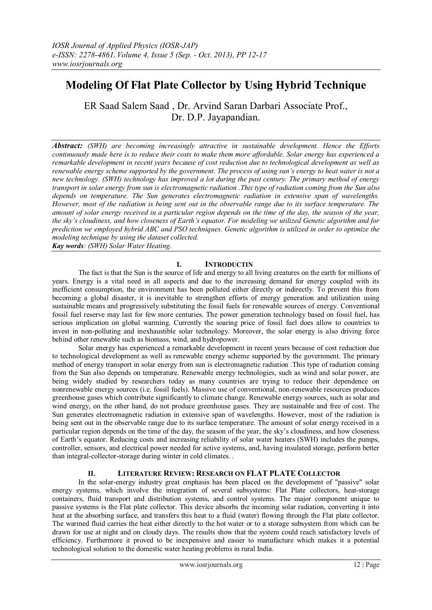# **Modeling Of Flat Plate Collector by Using Hybrid Technique**

ER Saad Salem Saad , Dr. Arvind Saran Darbari Associate Prof., Dr. D.P. Jayapandian.

*Abstract: (SWH) are becoming increasingly attractive in sustainable development. Hence the Efforts continuously made here is to reduce their costs to make them more affordable. Solar energy has experienced a remarkable development in recent years because of cost reduction due to technological development as well as renewable energy scheme supported by the government. The process of using sun's energy to heat water is not a new technology. (SWH) technology has improved a lot during the past century. The primary method of energy transport in solar energy from sun is electromagnetic radiation .This type of radiation coming from the Sun also depends on temperature. The Sun generates electromagnetic radiation in extensive span of wavelengths. However, most of the radiation is being sent out in the observable range due to its surface temperature. The amount of solar energy received in a particular region depends on the time of the day, the season of the year, the sky's cloudiness, and how closeness of Earth's equator. For modeling we utilized Genetic algorithm and for prediction we employed hybrid ABC and PSO techniques. Genetic algorithm is utilized in order to optimize the modeling technique by using the dataset collected. Kay words: (SWH) Solar Water Heating*.

**I. INTRODUCTIN**

The fact is that the Sun is the source of life and energy to all living creatures on the earth for millions of years. Energy is a vital need in all aspects and due to the increasing demand for energy coupled with its inefficient consumption, the environment has been polluted either directly or indirectly. To prevent this from becoming a global disaster, it is inevitable to strengthen efforts of energy generation and utilization using sustainable means and progressively substituting the fossil fuels for renewable sources of energy. Conventional fossil fuel reserve may last for few more centuries. The power generation technology based on fossil fuel, has serious implication on global warming. Currently the soaring price of fossil fuel does allow to countries to invest in non-polluting and inexhaustible solar technology. Moreover, the solar energy is also driving force behind other renewable such as biomass, wind, and hydropower.

Solar energy has experienced a remarkable development in recent years because of cost reduction due to technological development as well as renewable energy scheme supported by the government. The primary method of energy transport in solar energy from sun is electromagnetic radiation .This type of radiation coming from the Sun also depends on temperature. Renewable energy technologies, such as wind and solar power, are being widely studied by researchers today as many countries are trying to reduce their dependence on nonrenewable energy sources (i.e. fossil fuels). Massive use of conventional, non-renewable resources produces greenhouse gases which contribute significantly to climate change. Renewable energy sources, such as solar and wind energy, on the other hand, do not produce greenhouse gases. They are sustainable and free of cost. The Sun generates electromagnetic radiation in extensive span of wavelengths. However, most of the radiation is being sent out in the observable range due to its surface temperature. The amount of solar energy received in a particular region depends on the time of the day, the season of the year, the sky's cloudiness, and how closeness of Earth's equator. Reducing costs and increasing reliability of solar water heaters (SWH) includes the pumps, controller, sensors, and electrical power needed for active systems, and, having insulated storage, perform better than integral-collector-storage during winter in cold climates. .

#### **II. LITERATURE REVIEW: RESEARCH ON FLAT PLATE COLLECTOR**

In the solar-energy industry great emphasis has been placed on the development of "passive" solar energy systems, which involve the integration of several subsystems: Flat Plate collectors, heat-storage containers, fluid transport and distribution systems, and control systems. The major component unique to passive systems is the Flat plate collector. This device absorbs the incoming solar radiation, converting it into heat at the absorbing surface, and transfers this heat to a fluid (water) flowing through the Flat plate collector. The warmed fluid carries the heat either directly to the hot water or to a storage subsystem from which can be drawn for use at night and on cloudy days. The results show that the system could reach satisfactory levels of efficiency. Furthermore it proved to be inexpensive and easier to manufacture which makes it a potential technological solution to the domestic water heating problems in rural India.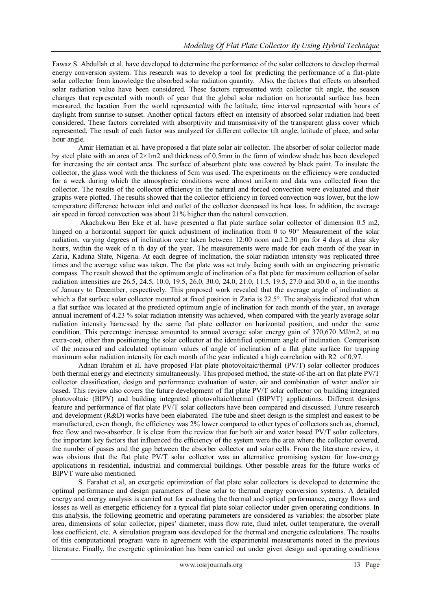Fawaz S. Abdullah et al. have developed to determine the performance of the solar collectors to develop thermal energy conversion system. This research was to develop a tool for predicting the performance of a flat-plate solar collector from knowledge the absorbed solar radiation quantity. Also, the factors that effects on absorbed solar radiation value have been considered. These factors represented with collector tilt angle, the season changes that represented with month of year that the global solar radiation on horizontal surface has been measured, the location from the world represented with the latitude, time interval represented with hours of daylight from sunrise to sunset. Another optical factors effect on intensity of absorbed solar radiation had been considered. These factors correlated with absorptivity and transmissivity of the transparent glass cover which represented. The result of each factor was analyzed for different collector tilt angle, latitude of place, and solar hour angle.

 Amir Hematian et al. have proposed a flat plate solar air collector. The absorber of solar collector made by steel plate with an area of 2×1m2 and thickness of 0.5mm in the form of window shade has been developed for increasing the air contact area. The surface of absorbent plate was covered by black paint. To insulate the collector, the glass wool with the thickness of 5cm was used. The experiments on the efficiency were conducted for a week during which the atmospheric conditions were almost uniform and data was collected from the collector. The results of the collector efficiency in the natural and forced convection were evaluated and their graphs were plotted. The results showed that the collector efficiency in forced convection was lower, but the low temperature difference between inlet and outlet of the collector decreased its heat loss. In addition, the average air speed in forced convection was about 21% higher than the natural convection.

 Akachukwu Ben Eke et al. have presented a flat plate surface solar collector of dimension 0.5 m2, hinged on a horizontal support for quick adjustment of inclination from 0 to 90 $^{\circ}$  Measurement of the solar radiation, varying degrees of inclination were taken between 12:00 noon and 2:30 pm for 4 days at clear sky hours, within the week of n th day of the year. The measurements were made for each month of the year in Zaria, Kaduna State, Nigeria. At each degree of inclination, the solar radiation intensity was replicated three times and the average value was taken. The flat plate was set truly facing south with an engineering prismatic compass. The result showed that the optimum angle of inclination of a flat plate for maximum collection of solar radiation intensities are 26.5, 24.5, 10.0, 19.5, 26.0, 30.0, 24.0, 21.0, 11.5, 19.5, 27.0 and 30.0 o, in the months of January to December, respectively. This proposed work revealed that the average angle of inclination at which a flat surface solar collector mounted at fixed position in Zaria is  $22.5^\circ$ . The analysis indicated that when a flat surface was located at the predicted optimum angle of inclination for each month of the year, an average annual increment of 4.23 % solar radiation intensity was achieved, when compared with the yearly average solar radiation intensity harnessed by the same flat plate collector on horizontal position, and under the same condition. This percentage increase amounted to annual average solar energy gain of 370,670 MJ/m2, at no extra-cost, other than positioning the solar collector at the identified optimum angle of inclination. Comparison of the measured and calculated optimum values of angle of inclination of a flat plate surface for trapping maximum solar radiation intensity for each month of the year indicated a high correlation with R2 of 0.97.

Adnan Ibrahim et al. have proposed Flat plate photovoltaic/thermal (PV/T) solar collector produces both thermal energy and electricity simultaneously. This proposed method, the state-of-the-art on flat plate PV/T collector classification, design and performance evaluation of water, air and combination of water and/or air based. This review also covers the future development of flat plate PV/T solar collector on building integrated photovoltaic (BIPV) and building integrated photovoltaic/thermal (BIPVT) applications. Different designs feature and performance of flat plate PV/T solar collectors have been compared and discussed. Future research and development (R&D) works have been elaborated. The tube and sheet design is the simplest and easiest to be manufactured, even though, the efficiency was 2% lower compared to other types of collectors such as, channel, free flow and two-absorber. It is clear from the review that for both air and water based PV/T solar collectors, the important key factors that influenced the efficiency of the system were the area where the collector covered, the number of passes and the gap between the absorber collector and solar cells. From the literature review, it was obvious that the flat plate PV/T solar collector was an alternative promising system for low-energy applications in residential, industrial and commercial buildings. Other possible areas for the future works of BIPVT ware also mentioned.

S. Farahat et al, an exergetic optimization of flat plate solar collectors is developed to determine the optimal performance and design parameters of these solar to thermal energy conversion systems. A detailed energy and energy analysis is carried out for evaluating the thermal and optical performance, energy flows and losses as well as energetic efficiency for a typical flat plate solar collector under given operating conditions. In this analysis, the following geometric and operating parameters are considered as variables: the absorber plate area, dimensions of solar collector, pipes' diameter, mass flow rate, fluid inlet, outlet temperature, the overall loss coefficient, etc. A simulation program was developed for the thermal and energetic calculations. The results of this computational program ware in agreement with the experimental measurements noted in the previous literature. Finally, the exergetic optimization has been carried out under given design and operating conditions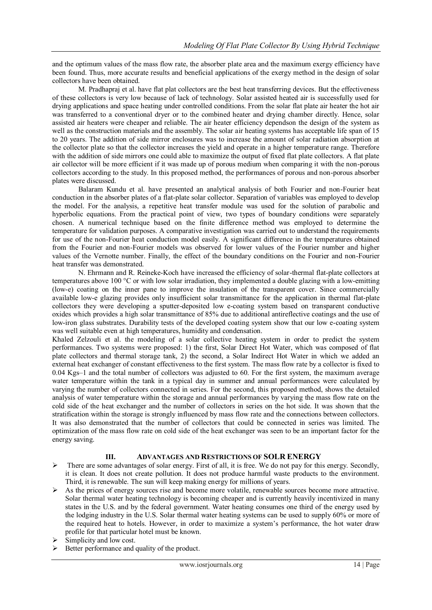and the optimum values of the mass flow rate, the absorber plate area and the maximum exergy efficiency have been found. Thus, more accurate results and beneficial applications of the exergy method in the design of solar collectors have been obtained.

M. Pradhapraj et al. have flat plat collectors are the best heat transferring devices. But the effectiveness of these collectors is very low because of lack of technology. Solar assisted heated air is successfully used for drying applications and space heating under controlled conditions. From the solar flat plate air heater the hot air was transferred to a conventional dryer or to the combined heater and drying chamber directly. Hence, solar assisted air heaters were cheaper and reliable. The air heater efficiency dependson the design of the system as well as the construction materials and the assembly. The solar air heating systems has acceptable life span of 15 to 20 years. The addition of side mirror enclosures was to increase the amount of solar radiation absorption at the collector plate so that the collector increases the yield and operate in a higher temperature range. Therefore with the addition of side mirrors one could able to maximize the output of fixed flat plate collectors. A flat plate air collector will be more efficient if it was made up of porous medium when comparing it with the non-porous collectors according to the study. In this proposed method, the performances of porous and non-porous absorber plates were discussed.

Balaram Kundu et al. have presented an analytical analysis of both Fourier and non-Fourier heat conduction in the absorber plates of a flat-plate solar collector. Separation of variables was employed to develop the model. For the analysis, a repetitive heat transfer module was used for the solution of parabolic and hyperbolic equations. From the practical point of view, two types of boundary conditions were separately chosen. A numerical technique based on the finite difference method was employed to determine the temperature for validation purposes. A comparative investigation was carried out to understand the requirements for use of the non-Fourier heat conduction model easily. A significant difference in the temperatures obtained from the Fourier and non-Fourier models was observed for lower values of the Fourier number and higher values of the Vernotte number. Finally, the effect of the boundary conditions on the Fourier and non-Fourier heat transfer was demonstrated.

N. Ehrmann and R. Reineke-Koch have increased the efficiency of solar-thermal flat-plate collectors at temperatures above 100 °C or with low solar irradiation, they implemented a double glazing with a low-emitting (low-e) coating on the inner pane to improve the insulation of the transparent cover. Since commercially available low-e glazing provides only insufficient solar transmittance for the application in thermal flat-plate collectors they were developing a sputter-deposited low e-coating system based on transparent conductive oxides which provides a high solar transmittance of 85% due to additional antireflective coatings and the use of low-iron glass substrates. Durability tests of the developed coating system show that our low e-coating system was well suitable even at high temperatures, humidity and condensation.

Khaled Zelzouli et al. the modeling of a solar collective heating system in order to predict the system performances. Two systems were proposed: 1) the first, Solar Direct Hot Water, which was composed of flat plate collectors and thermal storage tank, 2) the second, a Solar Indirect Hot Water in which we added an external heat exchanger of constant effectiveness to the first system. The mass flow rate by a collector is fixed to 0.04 Kgs–1 and the total number of collectors was adjusted to 60. For the first system, the maximum average water temperature within the tank in a typical day in summer and annual performances were calculated by varying the number of collectors connected in series. For the second, this proposed method, shows the detailed analysis of water temperature within the storage and annual performances by varying the mass flow rate on the cold side of the heat exchanger and the number of collectors in series on the hot side. It was shown that the stratification within the storage is strongly influenced by mass flow rate and the connections between collectors. It was also demonstrated that the number of collectors that could be connected in series was limited. The optimization of the mass flow rate on cold side of the heat exchanger was seen to be an important factor for the energy saving.

#### **III. ADVANTAGES AND RESTRICTIONS OF SOLR ENERGY**

- $\triangleright$  There are some advantages of solar energy. First of all, it is free. We do not pay for this energy. Secondly, it is clean. It does not create pollution. It does not produce harmful waste products to the environment. Third, it is renewable. The sun will keep making energy for millions of years.
- $\triangleright$  As the prices of energy sources rise and become more volatile, renewable sources become more attractive. Solar thermal water heating technology is becoming cheaper and is currently heavily incentivized in many states in the U.S. and by the federal government. Water heating consumes one third of the energy used by the lodging industry in the U.S. Solar thermal water heating systems can be used to supply 60% or more of the required heat to hotels. However, in order to maximize a system's performance, the hot water draw profile for that particular hotel must be known.
- Simplicity and low cost.
- $\triangleright$  Better performance and quality of the product.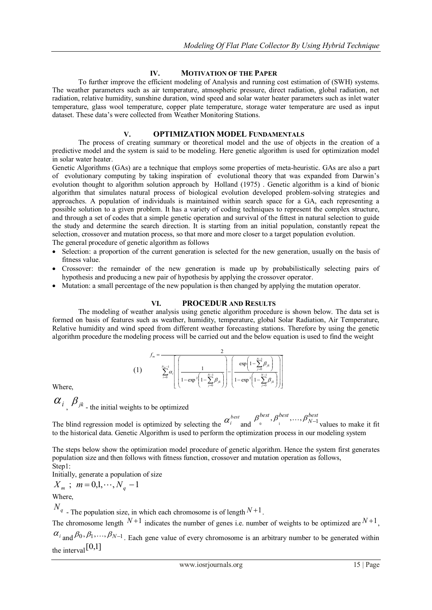## **IV. MOTIVATION OF THE PAPER**

To further improve the efficient modeling of Analysis and running cost estimation of (SWH) systems. The weather parameters such as air temperature, atmospheric pressure, direct radiation, global radiation, net radiation, relative humidity, sunshine duration, wind speed and solar water heater parameters such as inlet water temperature, glass wool temperature, copper plate temperature, storage water temperature are used as input dataset. These data's were collected from Weather Monitoring Stations.

## **V. OPTIMIZATION MODEL FUNDAMENTALS**

The process of creating summary or theoretical model and the use of objects in the creation of a predictive model and the system is said to be modeling. Here genetic algorithm is used for optimization model in solar water heater.

Genetic Algorithms (GAs) are a technique that employs some properties of meta-heuristic. GAs are also a part of evolutionary computing by taking inspiration of evolutional theory that was expanded from Darwin's evolution thought to algorithm solution approach by Holland (1975) . Genetic algorithm is a kind of bionic algorithm that simulates natural process of biological evolution developed problem-solving strategies and approaches. A population of individuals is maintained within search space for a GA, each representing a possible solution to a given problem. It has a variety of coding techniques to represent the complex structure, and through a set of codes that a simple genetic operation and survival of the fittest in natural selection to guide the study and determine the search direction. It is starting from an initial population, constantly repeat the selection, crossover and mutation process, so that more and more closer to a target population evolution. The general procedure of genetic algorithm as follows

- Selection: a proportion of the current generation is selected for the new generation, usually on the basis of fitness value.
- Crossover: the remainder of the new generation is made up by probabilistically selecting pairs of hypothesis and producing a new pair of hypothesis by applying the crossover operator.
- Mutation: a small percentage of the new population is then changed by applying the mutation operator.

## **VI. PROCEDUR AND RESULTS**

The modeling of weather analysis using genetic algorithm procedure is shown below. The data set is formed on basis of features such as weather, humidity, temperature, global Solar Radiation, Air Temperature, Relative humidity and wind speed from different weather forecasting stations. Therefore by using the genetic algorithm procedure the modeling process will be carried out and the below equation is used to find the weight

$$
f_m = \frac{2}{\sum_{i=0}^{N_g-1} \alpha_i} \left[ \frac{1}{1 - \exp^2 \left( 1 - \sum_{j=0}^{N-1} \beta_{jk} \right)} \right] - \left[ \frac{\exp \left( 1 - \sum_{j=0}^{N-1} \beta_{jk} \right)}{1 - \exp^2 \left( 1 - \sum_{j=0}^{N-1} \beta_{jk} \right)} \right]
$$

Where,

$$
\alpha_i
$$
,  $\beta_{jk}$  - the initial weights to be optimized

 $($ 

The blind regression model is optimized by selecting the  $\alpha_i^{best}$  and *best N best best*  $\beta_{_0}^{best}, \beta_{_1}^{best}, \dots, \beta_{N-1}^{best}$ values to make it fit to the historical data. Genetic Algorithm is used to perform the optimization process in our modeling system

The steps below show the optimization model procedure of genetic algorithm. Hence the system first generates population size and then follows with fitness function, crossover and mutation operation as follows, Step1:

Initially, generate a population of size

$$
X_m ; m = 0, 1, \cdots, N_q - 1
$$

Where,

 $N_q$  - The population size, in which each chromosome is of length  $N+1$ .

The chromosome length  $N+1$  indicates the number of genes i.e. number of weights to be optimized are  $N+1$ ,

 $\alpha_{i}$ <sub>and</sub>  $\beta_0$ ,  $\beta_1$ ,...,  $\beta_{N-1}$ . Each gene value of every chromosome is an arbitrary number to be generated within the interval [0,1]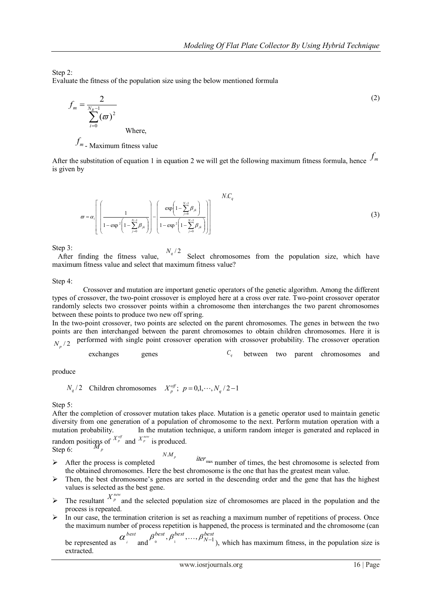Step 2:

Evaluate the fitness of the population size using the below mentioned formula

$$
f_m = \frac{2}{\sum_{i=0}^{N_R - 1} (\varpi)^2}
$$
 (2)

*m f* - Maximum fitness value

After the substitution of equation 1 in equation 2 we will get the following maximum fitness formula, hence  $f_m$ is given by

$$
\varpi = \alpha_i \left[ \left( \frac{1}{1 - \exp^2 \left( 1 - \sum_{j=0}^{N-1} \beta_{jk} \right)} \right) - \left( \frac{\exp \left( 1 - \sum_{j=0}^{N-1} \beta_{jk} \right)}{1 - \exp^2 \left( 1 - \sum_{j=0}^{N-1} \beta_{jk} \right)} \right) \right]
$$
\n(3)

Step 3:<br>After finding the fitness value. After finding the fitness value,  $N_q/2$  Select chromosomes from the population size, which have maximum fitness value and select that maximum fitness value?

Step 4:

 Crossover and mutation are important genetic operators of the genetic algorithm. Among the different types of crossover, the two-point crossover is employed here at a cross over rate. Two-point crossover operator randomly selects two crossover points within a chromosome then interchanges the two parent chromosomes between these points to produce two new off spring.

In the two-point crossover, two points are selected on the parent chromosomes. The genes in between the two points are then interchanged between the parent chromosomes to obtain children chromosomes. Here it is performed with single point crossover operation with crossover probability. The crossover operation *N<sup>p</sup>* / 2

exchanges genes 
$$
C_q
$$
 between two parent chromosomes and

produce

$$
N_q/2
$$
 Children chromosomes  $X_p^{\text{off}}; p = 0,1,\dots,N_q/2-1$ 

Step 5:

Fundom positions of  $X_p^{\text{off}}$  and  $X_p^{\text{new}}$  is produced.<br>Step 6:  $M_p$ After the completion of crossover mutation takes place. Mutation is a genetic operator used to maintain genetic diversity from one generation of a population of chromosome to the next. Perform mutation operation with a mutation probability. In the mutation technique, a uniform random integer is generated and replaced in

Step 6:

- After the process is completed  $\frac{iter_{\text{max}}}{\text{number of times, the best chromosome is selected from}}$ the obtained chromosomes. Here the best chromosome is the one that has the greatest mean value.  $N.M_p$
- $\triangleright$  Then, the best chromosome's genes are sorted in the descending order and the gene that has the highest values is selected as the best gene.
- $\triangleright$  The resultant  $X^{new}_{p}$  and the selected population size of chromosomes are placed in the population and the process is repeated.
- $\triangleright$  In our case, the termination criterion is set as reaching a maximum number of repetitions of process. Once the maximum number of process repetition is happened, the process is terminated and the chromosome (can *best*

be represented as  $\alpha_i$ <sup>i</sup> and  $\beta_0^{best}, \beta_1^{best}, \ldots, \beta_{N-1}^{best}$ ), which has maximum fitness, in the population size is extracted.